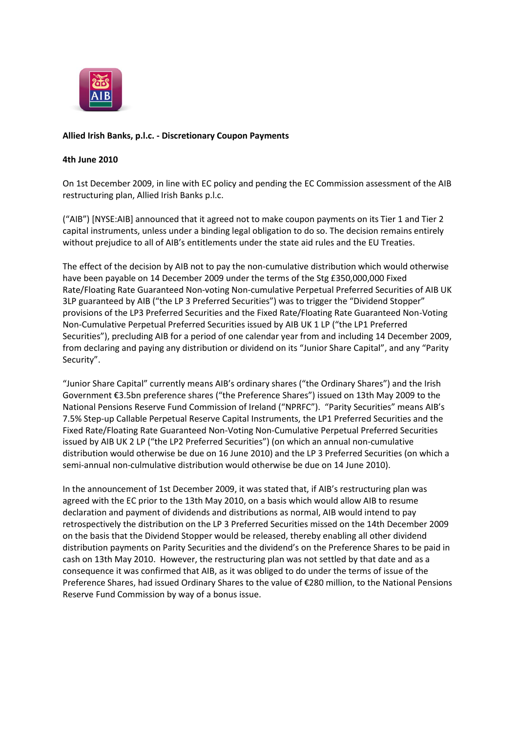

## **Allied Irish Banks, p.l.c. - Discretionary Coupon Payments**

## **4th June 2010**

On 1st December 2009, in line with EC policy and pending the EC Commission assessment of the AIB restructuring plan, Allied Irish Banks p.l.c.

("AIB") [NYSE:AIB] announced that it agreed not to make coupon payments on its Tier 1 and Tier 2 capital instruments, unless under a binding legal obligation to do so. The decision remains entirely without prejudice to all of AIB's entitlements under the state aid rules and the EU Treaties.

The effect of the decision by AIB not to pay the non-cumulative distribution which would otherwise have been payable on 14 December 2009 under the terms of the Stg £350,000,000 Fixed Rate/Floating Rate Guaranteed Non-voting Non-cumulative Perpetual Preferred Securities of AIB UK 3LP guaranteed by AIB ("the LP 3 Preferred Securities") was to trigger the "Dividend Stopper" provisions of the LP3 Preferred Securities and the Fixed Rate/Floating Rate Guaranteed Non-Voting Non-Cumulative Perpetual Preferred Securities issued by AIB UK 1 LP ("the LP1 Preferred Securities"), precluding AIB for a period of one calendar year from and including 14 December 2009, from declaring and paying any distribution or dividend on its "Junior Share Capital", and any "Parity Security".

"Junior Share Capital" currently means AIB's ordinary shares ("the Ordinary Shares") and the Irish Government €3.5bn preference shares ("the Preference Shares") issued on 13th May 2009 to the National Pensions Reserve Fund Commission of Ireland ("NPRFC"). "Parity Securities" means AIB's 7.5% Step-up Callable Perpetual Reserve Capital Instruments, the LP1 Preferred Securities and the Fixed Rate/Floating Rate Guaranteed Non-Voting Non-Cumulative Perpetual Preferred Securities issued by AIB UK 2 LP ("the LP2 Preferred Securities") (on which an annual non-cumulative distribution would otherwise be due on 16 June 2010) and the LP 3 Preferred Securities (on which a semi-annual non-culmulative distribution would otherwise be due on 14 June 2010).

In the announcement of 1st December 2009, it was stated that, if AIB's restructuring plan was agreed with the EC prior to the 13th May 2010, on a basis which would allow AIB to resume declaration and payment of dividends and distributions as normal, AIB would intend to pay retrospectively the distribution on the LP 3 Preferred Securities missed on the 14th December 2009 on the basis that the Dividend Stopper would be released, thereby enabling all other dividend distribution payments on Parity Securities and the dividend's on the Preference Shares to be paid in cash on 13th May 2010. However, the restructuring plan was not settled by that date and as a consequence it was confirmed that AIB, as it was obliged to do under the terms of issue of the Preference Shares, had issued Ordinary Shares to the value of €280 million, to the National Pensions Reserve Fund Commission by way of a bonus issue.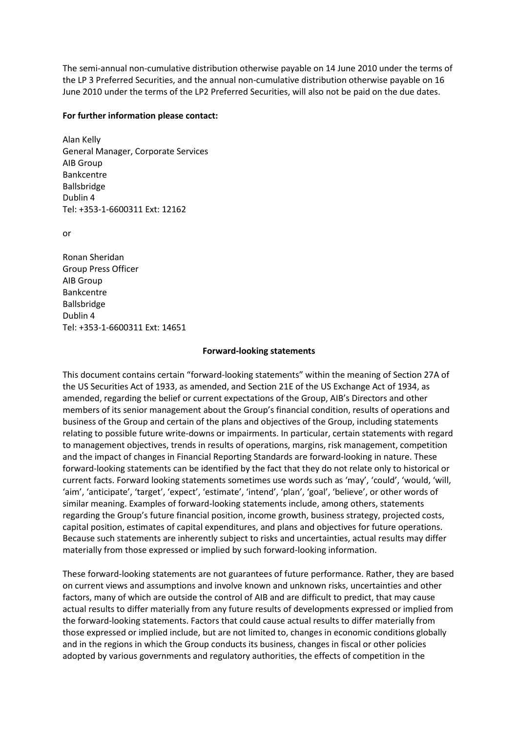The semi-annual non-cumulative distribution otherwise payable on 14 June 2010 under the terms of the LP 3 Preferred Securities, and the annual non-cumulative distribution otherwise payable on 16 June 2010 under the terms of the LP2 Preferred Securities, will also not be paid on the due dates.

## **For further information please contact:**

Alan Kelly General Manager, Corporate Services AIB Group Bankcentre Ballsbridge Dublin 4 Tel: +353-1-6600311 Ext: 12162

or

Ronan Sheridan Group Press Officer AIB Group Bankcentre Ballsbridge Dublin 4 Tel: +353-1-6600311 Ext: 14651

## **Forward-looking statements**

This document contains certain "forward-looking statements" within the meaning of Section 27A of the US Securities Act of 1933, as amended, and Section 21E of the US Exchange Act of 1934, as amended, regarding the belief or current expectations of the Group, AIB's Directors and other members of its senior management about the Group's financial condition, results of operations and business of the Group and certain of the plans and objectives of the Group, including statements relating to possible future write-downs or impairments. In particular, certain statements with regard to management objectives, trends in results of operations, margins, risk management, competition and the impact of changes in Financial Reporting Standards are forward-looking in nature. These forward-looking statements can be identified by the fact that they do not relate only to historical or current facts. Forward looking statements sometimes use words such as 'may', 'could', 'would, 'will, 'aim', 'anticipate', 'target', 'expect', 'estimate', 'intend', 'plan', 'goal', 'believe', or other words of similar meaning. Examples of forward-looking statements include, among others, statements regarding the Group's future financial position, income growth, business strategy, projected costs, capital position, estimates of capital expenditures, and plans and objectives for future operations. Because such statements are inherently subject to risks and uncertainties, actual results may differ materially from those expressed or implied by such forward-looking information.

These forward-looking statements are not guarantees of future performance. Rather, they are based on current views and assumptions and involve known and unknown risks, uncertainties and other factors, many of which are outside the control of AIB and are difficult to predict, that may cause actual results to differ materially from any future results of developments expressed or implied from the forward-looking statements. Factors that could cause actual results to differ materially from those expressed or implied include, but are not limited to, changes in economic conditions globally and in the regions in which the Group conducts its business, changes in fiscal or other policies adopted by various governments and regulatory authorities, the effects of competition in the